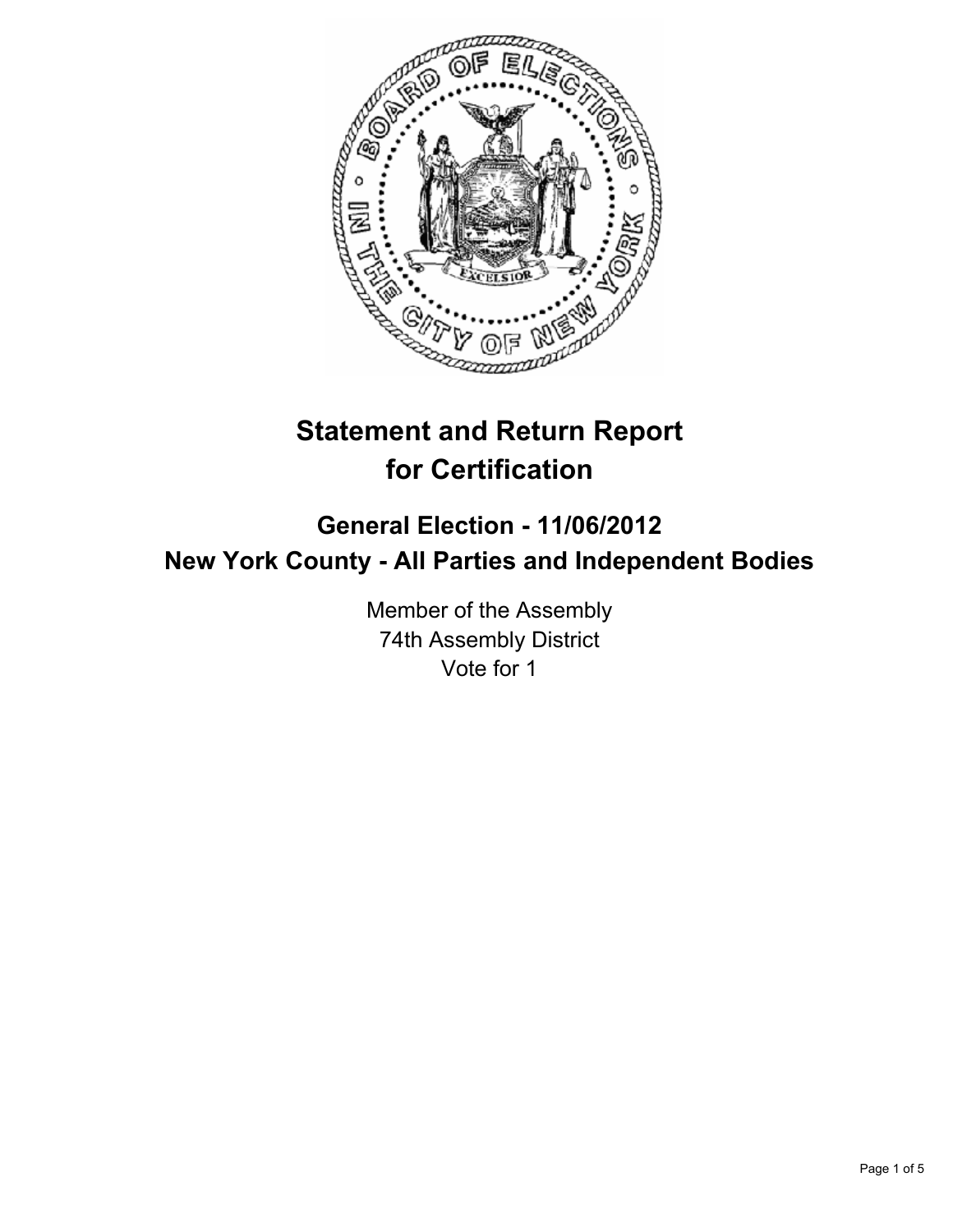

# **Statement and Return Report for Certification**

## **General Election - 11/06/2012 New York County - All Parties and Independent Bodies**

Member of the Assembly 74th Assembly District Vote for 1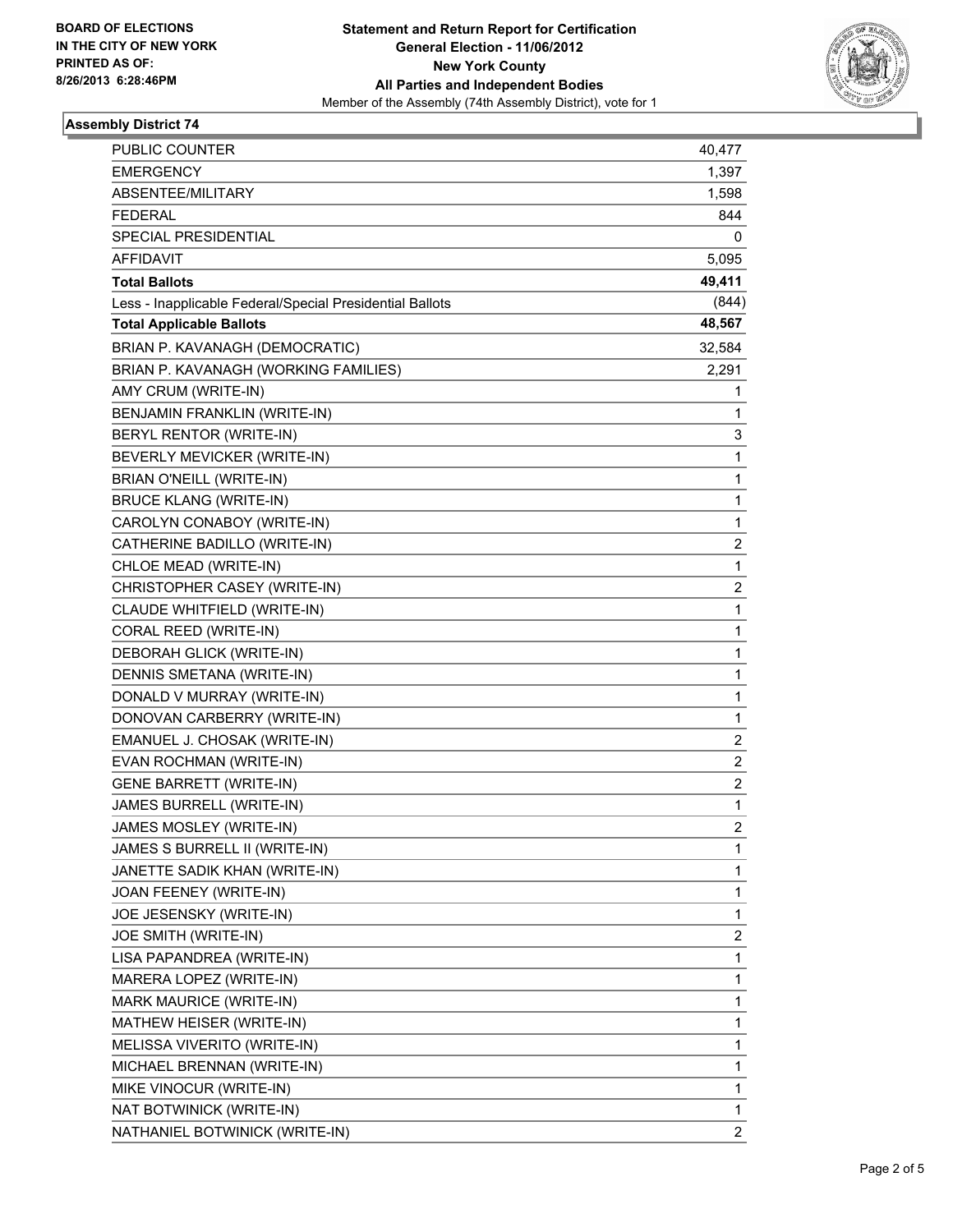

### **Assembly District 74**

| PUBLIC COUNTER                                           | 40,477                  |
|----------------------------------------------------------|-------------------------|
| <b>EMERGENCY</b>                                         | 1,397                   |
| ABSENTEE/MILITARY                                        | 1,598                   |
| <b>FEDERAL</b>                                           | 844                     |
| SPECIAL PRESIDENTIAL                                     | 0                       |
| <b>AFFIDAVIT</b>                                         | 5,095                   |
| <b>Total Ballots</b>                                     | 49,411                  |
| Less - Inapplicable Federal/Special Presidential Ballots | (844)                   |
| <b>Total Applicable Ballots</b>                          | 48,567                  |
| BRIAN P. KAVANAGH (DEMOCRATIC)                           | 32,584                  |
| BRIAN P. KAVANAGH (WORKING FAMILIES)                     | 2,291                   |
| AMY CRUM (WRITE-IN)                                      | 1                       |
| BENJAMIN FRANKLIN (WRITE-IN)                             | 1                       |
| BERYL RENTOR (WRITE-IN)                                  | 3                       |
| BEVERLY MEVICKER (WRITE-IN)                              | 1                       |
| <b>BRIAN O'NEILL (WRITE-IN)</b>                          | 1                       |
| <b>BRUCE KLANG (WRITE-IN)</b>                            | 1                       |
| CAROLYN CONABOY (WRITE-IN)                               | 1                       |
| CATHERINE BADILLO (WRITE-IN)                             | $\overline{\mathbf{c}}$ |
| CHLOE MEAD (WRITE-IN)                                    | $\mathbf{1}$            |
| CHRISTOPHER CASEY (WRITE-IN)                             | 2                       |
| CLAUDE WHITFIELD (WRITE-IN)                              | 1                       |
| CORAL REED (WRITE-IN)                                    | 1                       |
| DEBORAH GLICK (WRITE-IN)                                 | 1                       |
| DENNIS SMETANA (WRITE-IN)                                | 1                       |
| DONALD V MURRAY (WRITE-IN)                               | 1                       |
| DONOVAN CARBERRY (WRITE-IN)                              | 1                       |
| EMANUEL J. CHOSAK (WRITE-IN)                             | 2                       |
| EVAN ROCHMAN (WRITE-IN)                                  | 2                       |
| <b>GENE BARRETT (WRITE-IN)</b>                           | 2                       |
| JAMES BURRELL (WRITE-IN)                                 | 1                       |
| JAMES MOSLEY (WRITE-IN)                                  | $\overline{2}$          |
| JAMES S BURRELL II (WRITE-IN)                            | 1                       |
| JANETTE SADIK KHAN (WRITE-IN)                            | 1                       |
| JOAN FEENEY (WRITE-IN)                                   | 1                       |
| JOE JESENSKY (WRITE-IN)                                  | 1                       |
| JOE SMITH (WRITE-IN)                                     | 2                       |
| LISA PAPANDREA (WRITE-IN)                                | 1                       |
| MARERA LOPEZ (WRITE-IN)                                  | 1                       |
| MARK MAURICE (WRITE-IN)                                  | 1                       |
| MATHEW HEISER (WRITE-IN)                                 | 1                       |
| MELISSA VIVERITO (WRITE-IN)                              | 1                       |
| MICHAEL BRENNAN (WRITE-IN)                               | 1                       |
| MIKE VINOCUR (WRITE-IN)                                  | 1                       |
| NAT BOTWINICK (WRITE-IN)                                 | 1                       |
| NATHANIEL BOTWINICK (WRITE-IN)                           | $\overline{c}$          |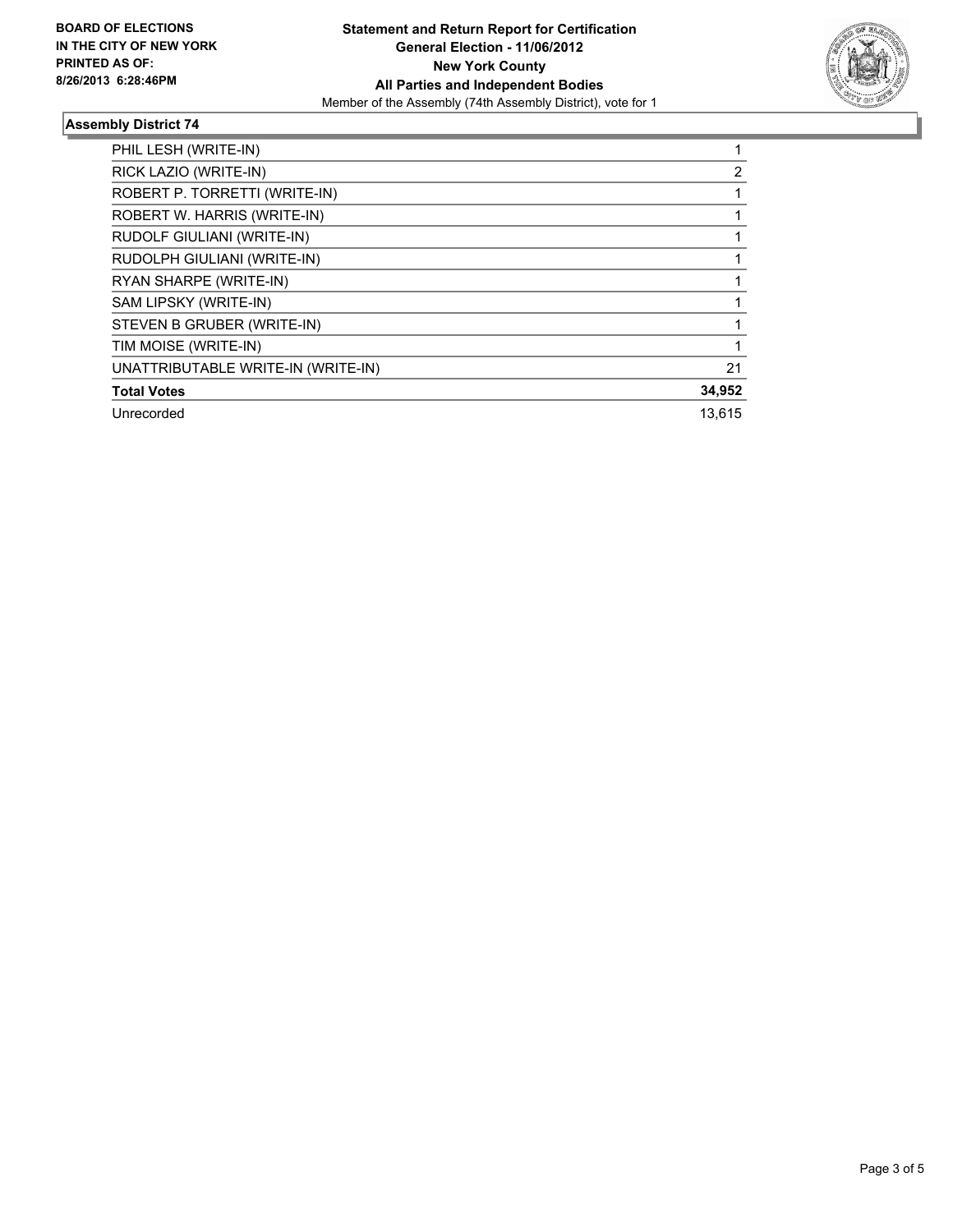

### **Assembly District 74**

| PHIL LESH (WRITE-IN)               |        |
|------------------------------------|--------|
| RICK LAZIO (WRITE-IN)              | 2      |
| ROBERT P. TORRETTI (WRITE-IN)      |        |
| ROBERT W. HARRIS (WRITE-IN)        |        |
| RUDOLF GIULIANI (WRITE-IN)         |        |
| RUDOLPH GIULIANI (WRITE-IN)        |        |
| RYAN SHARPE (WRITE-IN)             |        |
| SAM LIPSKY (WRITE-IN)              |        |
| STEVEN B GRUBER (WRITE-IN)         |        |
| TIM MOISE (WRITE-IN)               |        |
| UNATTRIBUTABLE WRITE-IN (WRITE-IN) | 21     |
| <b>Total Votes</b>                 | 34,952 |
| Unrecorded                         | 13,615 |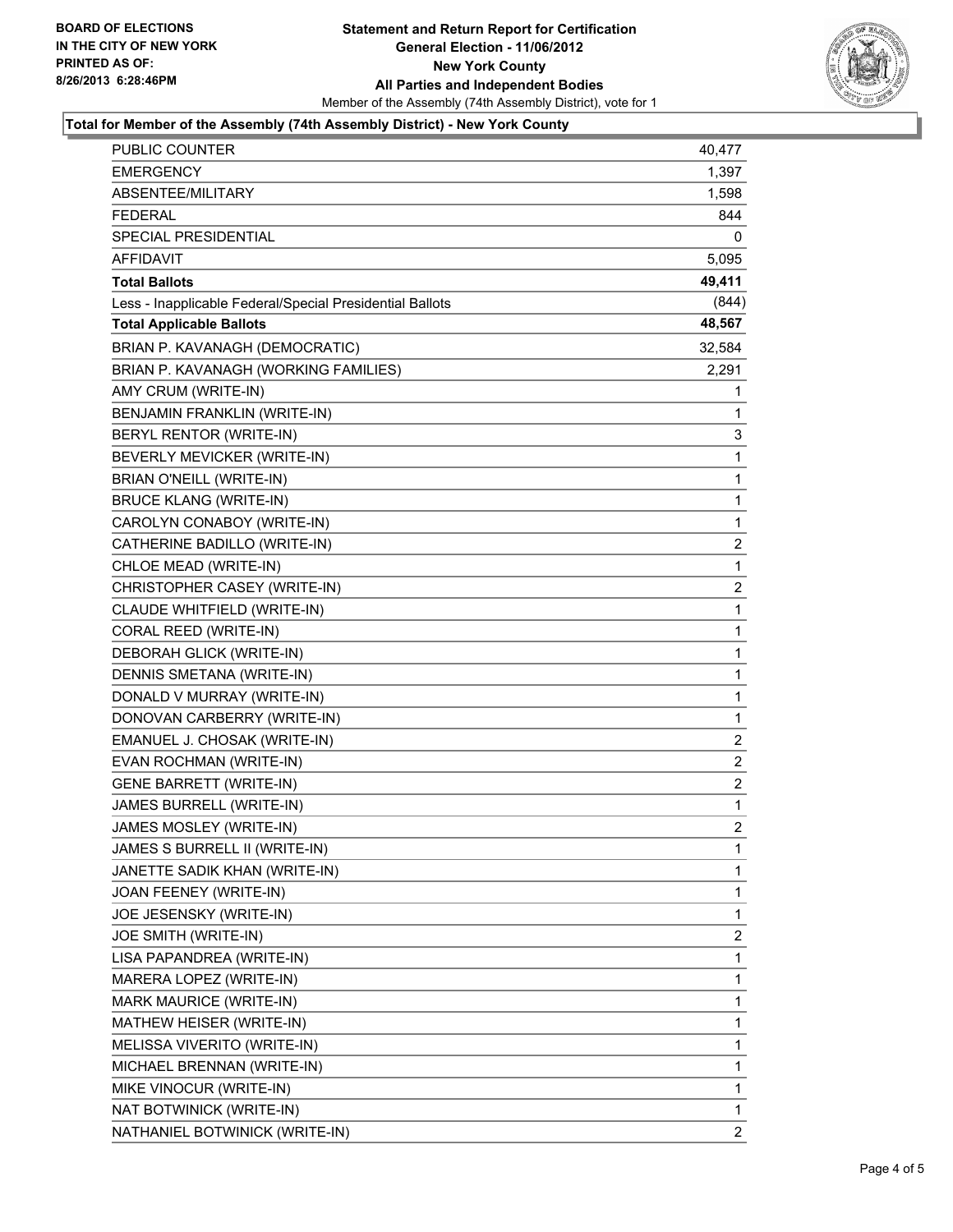

#### **Total for Member of the Assembly (74th Assembly District) - New York County**

| PUBLIC COUNTER                                           | 40,477         |
|----------------------------------------------------------|----------------|
| <b>EMERGENCY</b>                                         | 1,397          |
| ABSENTEE/MILITARY                                        | 1,598          |
| <b>FEDERAL</b>                                           | 844            |
| SPECIAL PRESIDENTIAL                                     | 0              |
| AFFIDAVIT                                                | 5,095          |
| <b>Total Ballots</b>                                     | 49,411         |
| Less - Inapplicable Federal/Special Presidential Ballots | (844)          |
| <b>Total Applicable Ballots</b>                          | 48,567         |
| BRIAN P. KAVANAGH (DEMOCRATIC)                           | 32,584         |
| BRIAN P. KAVANAGH (WORKING FAMILIES)                     | 2,291          |
| AMY CRUM (WRITE-IN)                                      | 1              |
| BENJAMIN FRANKLIN (WRITE-IN)                             | 1              |
| BERYL RENTOR (WRITE-IN)                                  | 3              |
| BEVERLY MEVICKER (WRITE-IN)                              | 1              |
| BRIAN O'NEILL (WRITE-IN)                                 | 1              |
| <b>BRUCE KLANG (WRITE-IN)</b>                            | 1              |
| CAROLYN CONABOY (WRITE-IN)                               | 1              |
| CATHERINE BADILLO (WRITE-IN)                             | $\overline{2}$ |
| CHLOE MEAD (WRITE-IN)                                    | 1              |
| CHRISTOPHER CASEY (WRITE-IN)                             | 2              |
| CLAUDE WHITFIELD (WRITE-IN)                              | 1              |
| CORAL REED (WRITE-IN)                                    | 1              |
| DEBORAH GLICK (WRITE-IN)                                 | 1              |
| DENNIS SMETANA (WRITE-IN)                                | 1              |
| DONALD V MURRAY (WRITE-IN)                               | 1              |
| DONOVAN CARBERRY (WRITE-IN)                              | 1              |
| EMANUEL J. CHOSAK (WRITE-IN)                             | $\overline{2}$ |
| EVAN ROCHMAN (WRITE-IN)                                  | $\overline{2}$ |
| <b>GENE BARRETT (WRITE-IN)</b>                           | $\overline{c}$ |
| JAMES BURRELL (WRITE-IN)                                 | 1              |
| JAMES MOSLEY (WRITE-IN)                                  | $\overline{2}$ |
| JAMES S BURRELL II (WRITE-IN)                            | 1              |
| JANETTE SADIK KHAN (WRITE-IN)                            | 1              |
| JOAN FEENEY (WRITE-IN)                                   | 1              |
| JOE JESENSKY (WRITE-IN)                                  | 1              |
| JOE SMITH (WRITE-IN)                                     | 2              |
| LISA PAPANDREA (WRITE-IN)                                | 1              |
| MARERA LOPEZ (WRITE-IN)                                  | 1              |
| MARK MAURICE (WRITE-IN)                                  | 1              |
| MATHEW HEISER (WRITE-IN)                                 | 1              |
| MELISSA VIVERITO (WRITE-IN)                              | 1              |
| MICHAEL BRENNAN (WRITE-IN)                               | 1              |
| MIKE VINOCUR (WRITE-IN)                                  | 1              |
| NAT BOTWINICK (WRITE-IN)                                 | 1              |
| NATHANIEL BOTWINICK (WRITE-IN)                           | 2              |
|                                                          |                |